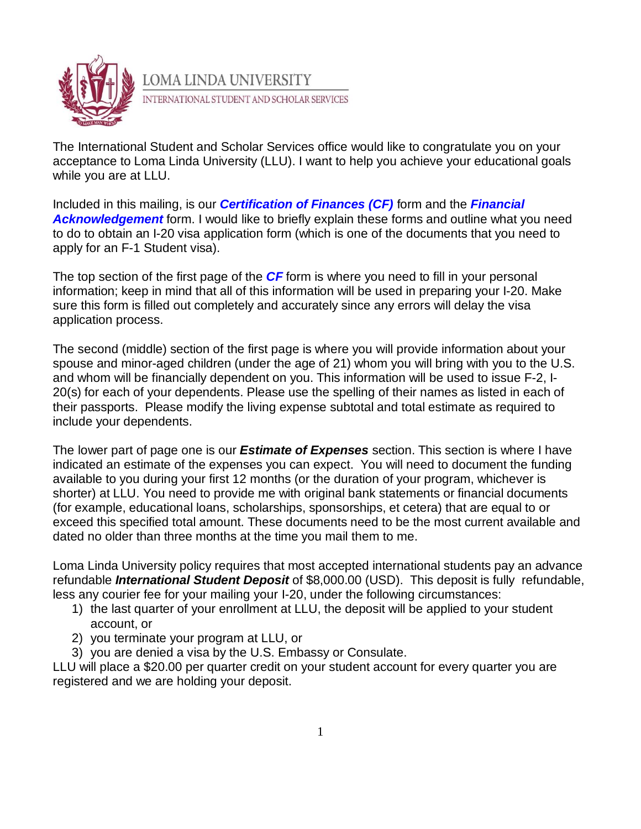

The International Student and Scholar Services office would like to congratulate you on your acceptance to Loma Linda University (LLU). I want to help you achieve your educational goals while you are at LLU.

Included in this mailing, is our *Certification of Finances (CF)* form and the *Financial Acknowledgement* form. I would like to briefly explain these forms and outline what you need to do to obtain an I-20 visa application form (which is one of the documents that you need to apply for an F-1 Student visa).

The top section of the first page of the *CF* form is where you need to fill in your personal information; keep in mind that all of this information will be used in preparing your I-20. Make sure this form is filled out completely and accurately since any errors will delay the visa application process.

The second (middle) section of the first page is where you will provide information about your spouse and minor-aged children (under the age of 21) whom you will bring with you to the U.S. and whom will be financially dependent on you. This information will be used to issue F-2, I-20(s) for each of your dependents. Please use the spelling of their names as listed in each of their passports. Please modify the living expense subtotal and total estimate as required to include your dependents.

The lower part of page one is our *Estimate of Expenses* section. This section is where I have indicated an estimate of the expenses you can expect. You will need to document the funding available to you during your first 12 months (or the duration of your program, whichever is shorter) at LLU. You need to provide me with original bank statements or financial documents (for example, educational loans, scholarships, sponsorships, et cetera) that are equal to or exceed this specified total amount. These documents need to be the most current available and dated no older than three months at the time you mail them to me.

Loma Linda University policy requires that most accepted international students pay an advance refundable *International Student Deposit* of \$8,000.00 (USD). This deposit is fully refundable, less any courier fee for your mailing your I-20, under the following circumstances:

- 1) the last quarter of your enrollment at LLU, the deposit will be applied to your student account, or
- 2) you terminate your program at LLU, or
- 3) you are denied a visa by the U.S. Embassy or Consulate.

LLU will place a \$20.00 per quarter credit on your student account for every quarter you are registered and we are holding your deposit.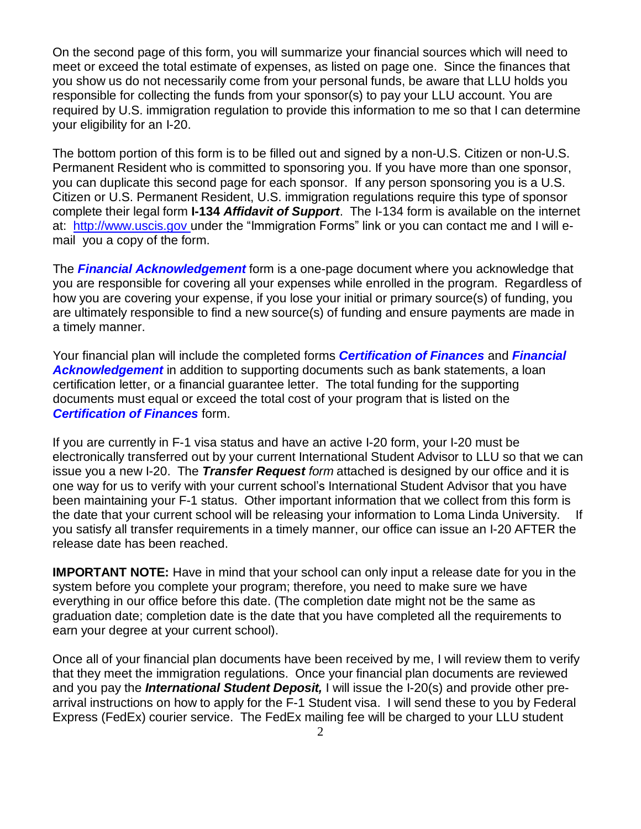On the second page of this form, you will summarize your financial sources which will need to meet or exceed the total estimate of expenses, as listed on page one. Since the finances that you show us do not necessarily come from your personal funds, be aware that LLU holds you responsible for collecting the funds from your sponsor(s) to pay your LLU account. You are required by U.S. immigration regulation to provide this information to me so that I can determine your eligibility for an I-20.

The bottom portion of this form is to be filled out and signed by a non-U.S. Citizen or non-U.S. Permanent Resident who is committed to sponsoring you. If you have more than one sponsor, you can duplicate this second page for each sponsor. If any person sponsoring you is a U.S. Citizen or U.S. Permanent Resident, U.S. immigration regulations require this type of sponsor complete their legal form **I-134** *Affidavit of Support*. The I-134 form is available on the internet at: [http://www.uscis.gov](http://www.uscis.gov/) under the "Immigration Forms" link or you can contact me and I will email you a copy of the form.

The *Financial Acknowledgement* form is a one-page document where you acknowledge that you are responsible for covering all your expenses while enrolled in the program. Regardless of how you are covering your expense, if you lose your initial or primary source(s) of funding, you are ultimately responsible to find a new source(s) of funding and ensure payments are made in a timely manner.

Your financial plan will include the completed forms *Certification of Finances* and *Financial* **Acknowledgement** in addition to supporting documents such as bank statements, a loan certification letter, or a financial guarantee letter. The total funding for the supporting documents must equal or exceed the total cost of your program that is listed on the *Certification of Finances* form.

If you are currently in F-1 visa status and have an active I-20 form, your I-20 must be electronically transferred out by your current International Student Advisor to LLU so that we can issue you a new I-20. The *Transfer Request form* attached is designed by our office and it is one way for us to verify with your current school's International Student Advisor that you have been maintaining your F-1 status. Other important information that we collect from this form is the date that your current school will be releasing your information to Loma Linda University. If you satisfy all transfer requirements in a timely manner, our office can issue an I-20 AFTER the release date has been reached.

**IMPORTANT NOTE:** Have in mind that your school can only input a release date for you in the system before you complete your program; therefore, you need to make sure we have everything in our office before this date. (The completion date might not be the same as graduation date; completion date is the date that you have completed all the requirements to earn your degree at your current school).

Once all of your financial plan documents have been received by me, I will review them to verify that they meet the immigration regulations. Once your financial plan documents are reviewed and you pay the *International Student Deposit,* I will issue the I-20(s) and provide other prearrival instructions on how to apply for the F-1 Student visa. I will send these to you by Federal Express (FedEx) courier service. The FedEx mailing fee will be charged to your LLU student